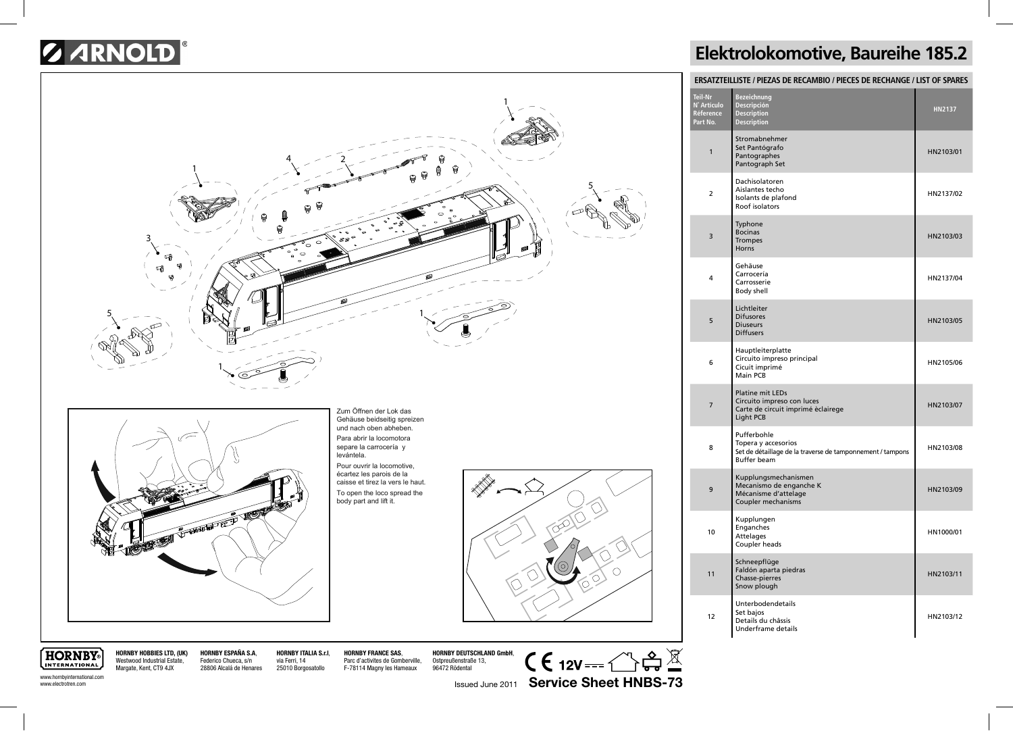## *G ARNOLD*



## **Elektrolokomotive, Baureihe 185.2**

| ERSATZTEILLISTE / PIEZAS DE RECAMBIO / PIECES DE RECHANGE / LIST OF SPARES |                                                                                                                        |               |  |
|----------------------------------------------------------------------------|------------------------------------------------------------------------------------------------------------------------|---------------|--|
| Teil-Nr<br>N° Artículo<br>Réference<br>Part No.                            | <b>Bezeichnung</b><br>Descripción<br>Description<br><b>Description</b>                                                 | <b>HN2137</b> |  |
| 1                                                                          | Stromabnehmer<br>Set Pantógrafo<br>Pantographes<br>Pantograph Set                                                      | HN2103/01     |  |
| 2                                                                          | Dachisolatoren<br>Aislantes techo<br>Isolants de plafond<br>Roof isolators                                             | HN2137/02     |  |
| 3                                                                          | Typhone<br><b>Bocinas</b><br><b>Trompes</b><br>Horns                                                                   | HN2103/03     |  |
| 4                                                                          | Gehäuse<br>Carrocería<br>Carrosserie<br>Body shell                                                                     | HN2137/04     |  |
| 5                                                                          | Lichtleiter<br><b>Difusores</b><br><b>Diuseurs</b><br><b>Diffusers</b>                                                 | HN2103/05     |  |
| 6                                                                          | Hauptleiterplatte<br>Circuito impreso principal<br>Cicuit imprimé<br>Main PCB                                          | HN2105/06     |  |
| 7                                                                          | <b>Platine mit LEDs</b><br>Circuito impreso con luces<br>Carte de circuit imprimé èclairege<br>Light PCB               | HN2103/07     |  |
| 8                                                                          | Pufferbohle<br>Topera y accesorios<br>Set de détaillage de la traverse de tamponnement / tampons<br><b>Buffer beam</b> | HN2103/08     |  |
| 9                                                                          | Kupplungsmechanismen<br>Mecanismo de enganche K<br>Mécanisme d'attelage<br>Coupler mechanisms                          | HN2103/09     |  |
| 10                                                                         | Kupplungen<br>Enganches<br><b>Attelages</b><br>Coupler heads                                                           | HN1000/01     |  |
| 11                                                                         | Schneepflüge<br>Faldón aparta piedras<br>Chasse-pierres<br>Snow plough                                                 | HN2103/11     |  |
| 12                                                                         | Unterbodendetails<br>Set bajos<br>Details du châssis<br>Underframe details                                             | HN2103/12     |  |

**HORNBY** INTERNATIONAL www.hornbyinternational.com

www.electrotren.com

Westwood Industrial Estate, Margate, Kent, CT9 4JX

**HORNBY HOBBIES LTD, (UK) HORNBY ESPAÑA S.A**, Federico Chueca, s/n 28806 Alcalá de Henares **HORNBY ITALIA S.r.l**, via Ferri, 14 25010 Borgosatollo

**HORNBY FRANCE SAS**, Parc d'activites de Gomberville, F-78114 Magny les Hameaux

**HORNBY DEUTSCHLAND GmbH**, Ostpreußenstraße 13, 96472 Rödental

 $C \in 12V \rightarrow \mathbb{C}$ Issued June 2011 **Service Sheet HNBS-73**